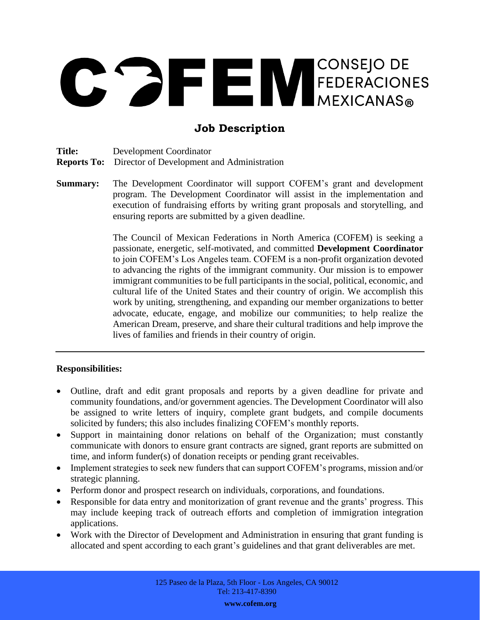# CONSEJO DE FEDERACIONES

# **Job Description**

**Title:** Development Coordinator

**Reports To:** Director of Development and Administration

**Summary:** The Development Coordinator will support COFEM's grant and development program. The Development Coordinator will assist in the implementation and execution of fundraising efforts by writing grant proposals and storytelling, and ensuring reports are submitted by a given deadline.

> The Council of Mexican Federations in North America (COFEM) is seeking a passionate, energetic, self-motivated, and committed **Development Coordinator** to join COFEM's Los Angeles team. COFEM is a non-profit organization devoted to advancing the rights of the immigrant community. Our mission is to empower immigrant communities to be full participants in the social, political, economic, and cultural life of the United States and their country of origin. We accomplish this work by uniting, strengthening, and expanding our member organizations to better advocate, educate, engage, and mobilize our communities; to help realize the American Dream, preserve, and share their cultural traditions and help improve the lives of families and friends in their country of origin.

## **Responsibilities:**

- Outline, draft and edit grant proposals and reports by a given deadline for private and community foundations, and/or government agencies. The Development Coordinator will also be assigned to write letters of inquiry, complete grant budgets, and compile documents solicited by funders; this also includes finalizing COFEM's monthly reports.
- Support in maintaining donor relations on behalf of the Organization; must constantly communicate with donors to ensure grant contracts are signed, grant reports are submitted on time, and inform funder(s) of donation receipts or pending grant receivables.
- Implement strategies to seek new funders that can support COFEM's programs, mission and/or strategic planning.
- Perform donor and prospect research on individuals, corporations, and foundations.
- Responsible for data entry and monitorization of grant revenue and the grants' progress. This may include keeping track of outreach efforts and completion of immigration integration applications.
- Work with the Director of Development and Administration in ensuring that grant funding is allocated and spent according to each grant's guidelines and that grant deliverables are met.

**www.cofem.org**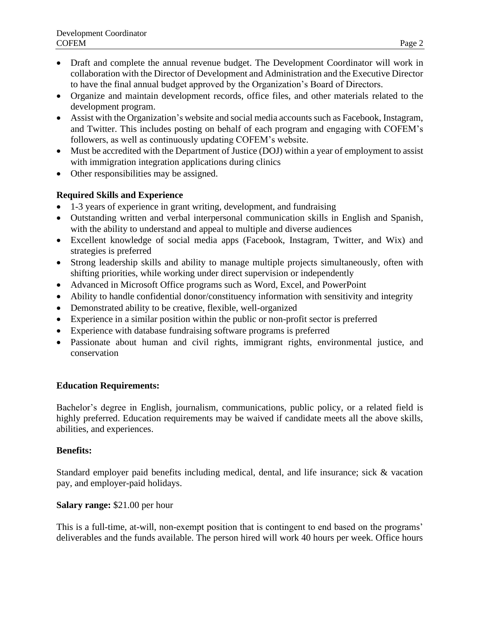- Draft and complete the annual revenue budget. The Development Coordinator will work in collaboration with the Director of Development and Administration and the Executive Director to have the final annual budget approved by the Organization's Board of Directors.
- Organize and maintain development records, office files, and other materials related to the development program.
- Assist with the Organization's website and social media accounts such as Facebook, Instagram, and Twitter. This includes posting on behalf of each program and engaging with COFEM's followers, as well as continuously updating COFEM's website.
- Must be accredited with the Department of Justice (DOJ) within a year of employment to assist with immigration integration applications during clinics
- Other responsibilities may be assigned.

# **Required Skills and Experience**

- 1-3 years of experience in grant writing, development, and fundraising
- Outstanding written and verbal interpersonal communication skills in English and Spanish, with the ability to understand and appeal to multiple and diverse audiences
- Excellent knowledge of social media apps (Facebook, Instagram, Twitter, and Wix) and strategies is preferred
- Strong leadership skills and ability to manage multiple projects simultaneously, often with shifting priorities, while working under direct supervision or independently
- Advanced in Microsoft Office programs such as Word, Excel, and PowerPoint
- Ability to handle confidential donor/constituency information with sensitivity and integrity
- Demonstrated ability to be creative, flexible, well-organized
- Experience in a similar position within the public or non-profit sector is preferred
- Experience with database fundraising software programs is preferred
- Passionate about human and civil rights, immigrant rights, environmental justice, and conservation

# **Education Requirements:**

Bachelor's degree in English, journalism, communications, public policy, or a related field is highly preferred. Education requirements may be waived if candidate meets all the above skills, abilities, and experiences.

## **Benefits:**

Standard employer paid benefits including medical, dental, and life insurance; sick & vacation pay, and employer-paid holidays.

## **Salary range:** \$21.00 per hour

This is a full-time, at-will, non-exempt position that is contingent to end based on the programs' deliverables and the funds available. The person hired will work 40 hours per week. Office hours